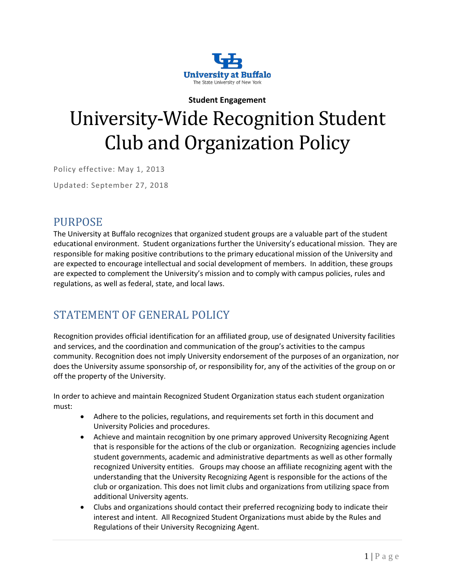

# **Student Engagement** University-Wide Recognition Student Club and Organization Policy

Policy effective: May 1, 2013

Updated: September 27, 2018

#### PURPOSE

The University at Buffalo recognizes that organized student groups are a valuable part of the student educational environment. Student organizations further the University's educational mission. They are responsible for making positive contributions to the primary educational mission of the University and are expected to encourage intellectual and social development of members. In addition, these groups are expected to complement the University's mission and to comply with campus policies, rules and regulations, as well as federal, state, and local laws.

# STATEMENT OF GENERAL POLICY

Recognition provides official identification for an affiliated group, use of designated University facilities and services, and the coordination and communication of the group's activities to the campus community. Recognition does not imply University endorsement of the purposes of an organization, nor does the University assume sponsorship of, or responsibility for, any of the activities of the group on or off the property of the University.

In order to achieve and maintain Recognized Student Organization status each student organization must:

- Adhere to the policies, regulations, and requirements set forth in this document and University Policies and procedures.
- Achieve and maintain recognition by one primary approved University Recognizing Agent that is responsible for the actions of the club or organization. Recognizing agencies include student governments, academic and administrative departments as well as other formally recognized University entities. Groups may choose an affiliate recognizing agent with the understanding that the University Recognizing Agent is responsible for the actions of the club or organization. This does not limit clubs and organizations from utilizing space from additional University agents.
- Clubs and organizations should contact their preferred recognizing body to indicate their interest and intent. All Recognized Student Organizations must abide by the Rules and Regulations of their University Recognizing Agent.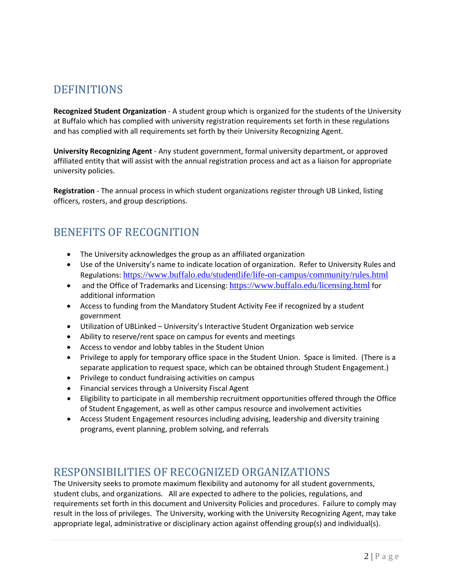# **DEFINITIONS**

**Recognized Student Organization** - A student group which is organized for the students of the University at Buffalo which has complied with university registration requirements set forth in these regulations and has complied with all requirements set forth by their University Recognizing Agent.

**University Recognizing Agent** - Any student government, formal university department, or approved affiliated entity that will assist with the annual registration process and act as a liaison for appropriate university policies.

**Registration** - The annual process in which student organizations register through UB Linked, listing officers, rosters, and group descriptions.

# BENEFITS OF RECOGNITION

- The University acknowledges the group as an affiliated organization
- Use of the University's name to indicate location of organization. Refer to University Rules and Regulations: <https://www.buffalo.edu/studentlife/life-on-campus/community/rules.html>
- and the Office of Trademarks and Licensing: <https://www.buffalo.edu/licensing.html> for additional information
- Access to funding from the Mandatory Student Activity Fee if recognized by a student government
- Utilization of UBLinked University's Interactive Student Organization web service
- Ability to reserve/rent space on campus for events and meetings
- Access to vendor and lobby tables in the Student Union
- Privilege to apply for temporary office space in the Student Union. Space is limited. (There is a separate application to request space, which can be obtained through Student Engagement.)
- Privilege to conduct fundraising activities on campus
- Financial services through a University Fiscal Agent
- Eligibility to participate in all membership recruitment opportunities offered through the Office of Student Engagement, as well as other campus resource and involvement activities
- Access Student Engagement resources including advising, leadership and diversity training programs, event planning, problem solving, and referrals

# RESPONSIBILITIES OF RECOGNIZED ORGANIZATIONS

The University seeks to promote maximum flexibility and autonomy for all student governments, student clubs, and organizations. All are expected to adhere to the policies, regulations, and requirements set forth in this document and University Policies and procedures. Failure to comply may result in the loss of privileges. The University, working with the University Recognizing Agent, may take appropriate legal, administrative or disciplinary action against offending group(s) and individual(s).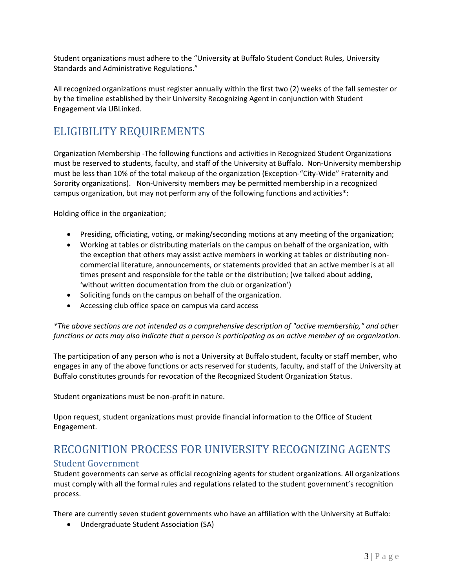Student organizations must adhere to the "University at Buffalo Student Conduct Rules, University Standards and Administrative Regulations."

All recognized organizations must register annually within the first two (2) weeks of the fall semester or by the timeline established by their University Recognizing Agent in conjunction with Student Engagement via UBLinked.

# ELIGIBILITY REQUIREMENTS

Organization Membership -The following functions and activities in Recognized Student Organizations must be reserved to students, faculty, and staff of the University at Buffalo. Non-University membership must be less than 10% of the total makeup of the organization (Exception-"City-Wide" Fraternity and Sorority organizations). Non-University members may be permitted membership in a recognized campus organization, but may not perform any of the following functions and activities\*:

Holding office in the organization;

- Presiding, officiating, voting, or making/seconding motions at any meeting of the organization;
- Working at tables or distributing materials on the campus on behalf of the organization, with the exception that others may assist active members in working at tables or distributing noncommercial literature, announcements, or statements provided that an active member is at all times present and responsible for the table or the distribution; (we talked about adding, 'without written documentation from the club or organization')
- Soliciting funds on the campus on behalf of the organization.
- Accessing club office space on campus via card access

*\*The above sections are not intended as a comprehensive description of "active membership," and other functions or acts may also indicate that a person is participating as an active member of an organization.* 

The participation of any person who is not a University at Buffalo student, faculty or staff member, who engages in any of the above functions or acts reserved for students, faculty, and staff of the University at Buffalo constitutes grounds for revocation of the Recognized Student Organization Status.

Student organizations must be non-profit in nature.

Upon request, student organizations must provide financial information to the Office of Student Engagement.

# RECOGNITION PROCESS FOR UNIVERSITY RECOGNIZING AGENTS

#### Student Government

Student governments can serve as official recognizing agents for student organizations. All organizations must comply with all the formal rules and regulations related to the student government's recognition process.

There are currently seven student governments who have an affiliation with the University at Buffalo:

• Undergraduate Student Association (SA)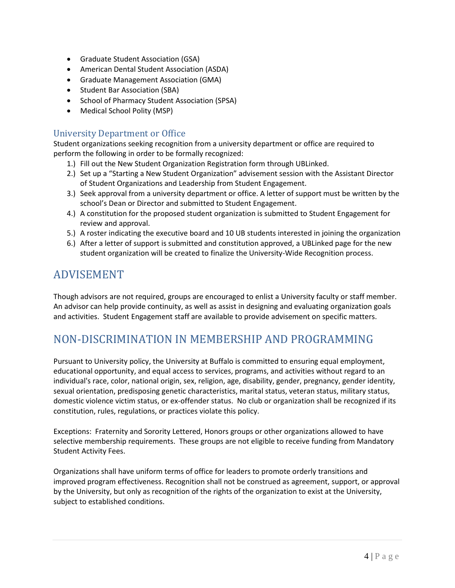- Graduate Student Association (GSA)
- American Dental Student Association (ASDA)
- Graduate Management Association (GMA)
- Student Bar Association (SBA)
- School of Pharmacy Student Association (SPSA)
- Medical School Polity (MSP)

#### University Department or Office

Student organizations seeking recognition from a university department or office are required to perform the following in order to be formally recognized:

- 1.) Fill out the New Student Organization Registration form through UBLinked.
- 2.) Set up a "Starting a New Student Organization" advisement session with the Assistant Director of Student Organizations and Leadership from Student Engagement.
- 3.) Seek approval from a university department or office. A letter of support must be written by the school's Dean or Director and submitted to Student Engagement.
- 4.) A constitution for the proposed student organization is submitted to Student Engagement for review and approval.
- 5.) A roster indicating the executive board and 10 UB students interested in joining the organization
- 6.) After a letter of support is submitted and constitution approved, a UBLinked page for the new student organization will be created to finalize the University-Wide Recognition process.

### ADVISEMENT

Though advisors are not required, groups are encouraged to enlist a University faculty or staff member. An advisor can help provide continuity, as well as assist in designing and evaluating organization goals and activities. Student Engagement staff are available to provide advisement on specific matters.

# NON-DISCRIMINATION IN MEMBERSHIP AND PROGRAMMING

Pursuant to University policy, the University at Buffalo is committed to ensuring equal employment, educational opportunity, and equal access to services, programs, and activities without regard to an individual's race, color, national origin, sex, religion, age, disability, gender, pregnancy, gender identity, sexual orientation, predisposing genetic characteristics, marital status, veteran status, military status, domestic violence victim status, or ex-offender status. No club or organization shall be recognized if its constitution, rules, regulations, or practices violate this policy.

Exceptions: Fraternity and Sorority Lettered, Honors groups or other organizations allowed to have selective membership requirements. These groups are not eligible to receive funding from Mandatory Student Activity Fees.

Organizations shall have uniform terms of office for leaders to promote orderly transitions and improved program effectiveness. Recognition shall not be construed as agreement, support, or approval by the University, but only as recognition of the rights of the organization to exist at the University, subject to established conditions.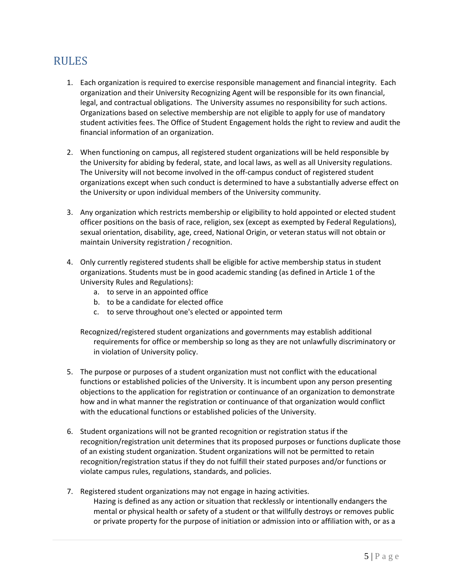### RULES

- 1. Each organization is required to exercise responsible management and financial integrity. Each organization and their University Recognizing Agent will be responsible for its own financial, legal, and contractual obligations. The University assumes no responsibility for such actions. Organizations based on selective membership are not eligible to apply for use of mandatory student activities fees. The Office of Student Engagement holds the right to review and audit the financial information of an organization.
- 2. When functioning on campus, all registered student organizations will be held responsible by the University for abiding by federal, state, and local laws, as well as all University regulations. The University will not become involved in the off-campus conduct of registered student organizations except when such conduct is determined to have a substantially adverse effect on the University or upon individual members of the University community.
- 3. Any organization which restricts membership or eligibility to hold appointed or elected student officer positions on the basis of race, religion, sex (except as exempted by Federal Regulations), sexual orientation, disability, age, creed, National Origin, or veteran status will not obtain or maintain University registration / recognition.
- 4. Only currently registered students shall be eligible for active membership status in student organizations. Students must be in good academic standing (as defined in Article 1 of the University Rules and Regulations):
	- a. to serve in an appointed office
	- b. to be a candidate for elected office
	- c. to serve throughout one's elected or appointed term
	- Recognized/registered student organizations and governments may establish additional requirements for office or membership so long as they are not unlawfully discriminatory or in violation of University policy.
- 5. The purpose or purposes of a student organization must not conflict with the educational functions or established policies of the University. It is incumbent upon any person presenting objections to the application for registration or continuance of an organization to demonstrate how and in what manner the registration or continuance of that organization would conflict with the educational functions or established policies of the University.
- 6. Student organizations will not be granted recognition or registration status if the recognition/registration unit determines that its proposed purposes or functions duplicate those of an existing student organization. Student organizations will not be permitted to retain recognition/registration status if they do not fulfill their stated purposes and/or functions or violate campus rules, regulations, standards, and policies.
- 7. Registered student organizations may not engage in hazing activities. Hazing is defined as any action or situation that recklessly or intentionally endangers the mental or physical health or safety of a student or that willfully destroys or removes public or private property for the purpose of initiation or admission into or affiliation with, or as a